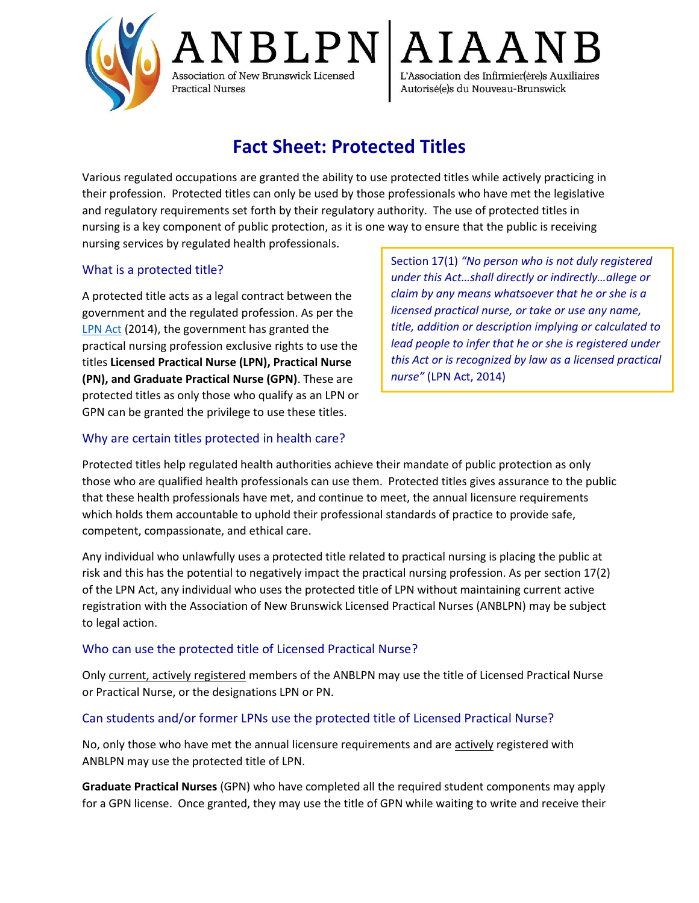

JBLPN Association of New Brunswick Licensed Practical Nurses

 ${\rm IAA}$ L'Association des Infirmier(ère)s Auxiliaires Autorisé(e)s du Nouveau-Brunswick

# **Fact Sheet: Protected Titles**

Various regulated occupations are granted the ability to use protected titles while actively practicing in their profession. Protected titles can only be used by those professionals who have met the legislative and regulatory requirements set forth by their regulatory authority. The use of protected titles in nursing is a key component of public protection, as it is one way to ensure that the public is receiving nursing services by regulated health professionals.

# What is a protected title?

A protected title acts as a legal contract between the government and the regulated profession. As per the [LPN Act](https://www.anblpn.ca/wp-content/uploads/2021/04/LPN_Act-2014.pdf) (2014), the government has granted the practical nursing profession exclusive rights to use the titles **Licensed Practical Nurse (LPN), Practical Nurse (PN), and Graduate Practical Nurse (GPN)**. These are protected titles as only those who qualify as an LPN or GPN can be granted the privilege to use these titles.

Section 17(1) *"No person who is not duly registered under this Act…shall directly or indirectly…allege or claim by any means whatsoever that he or she is a licensed practical nurse, or take or use any name, title, addition or description implying or calculated to lead people to infer that he or she is registered under this Act or is recognized by law as a licensed practical nurse"* (LPN Act, 2014)

# Why are certain titles protected in health care?

Protected titles help regulated health authorities achieve their mandate of public protection as only those who are qualified health professionals can use them. Protected titles gives assurance to the public that these health professionals have met, and continue to meet, the annual licensure requirements which holds them accountable to uphold their professional standards of practice to provide safe, competent, compassionate, and ethical care.

Any individual who unlawfully uses a protected title related to practical nursing is placing the public at risk and this has the potential to negatively impact the practical nursing profession. As per section 17(2) of the LPN Act, any individual who uses the protected title of LPN without maintaining current active registration with the Association of New Brunswick Licensed Practical Nurses (ANBLPN) may be subject to legal action.

## Who can use the protected title of Licensed Practical Nurse?

Only current, actively registered members of the ANBLPN may use the title of Licensed Practical Nurse or Practical Nurse, or the designations LPN or PN.

## Can students and/or former LPNs use the protected title of Licensed Practical Nurse?

No, only those who have met the annual licensure requirements and are actively registered with ANBLPN may use the protected title of LPN.

**Graduate Practical Nurses** (GPN) who have completed all the required student components may apply for a GPN license. Once granted, they may use the title of GPN while waiting to write and receive their